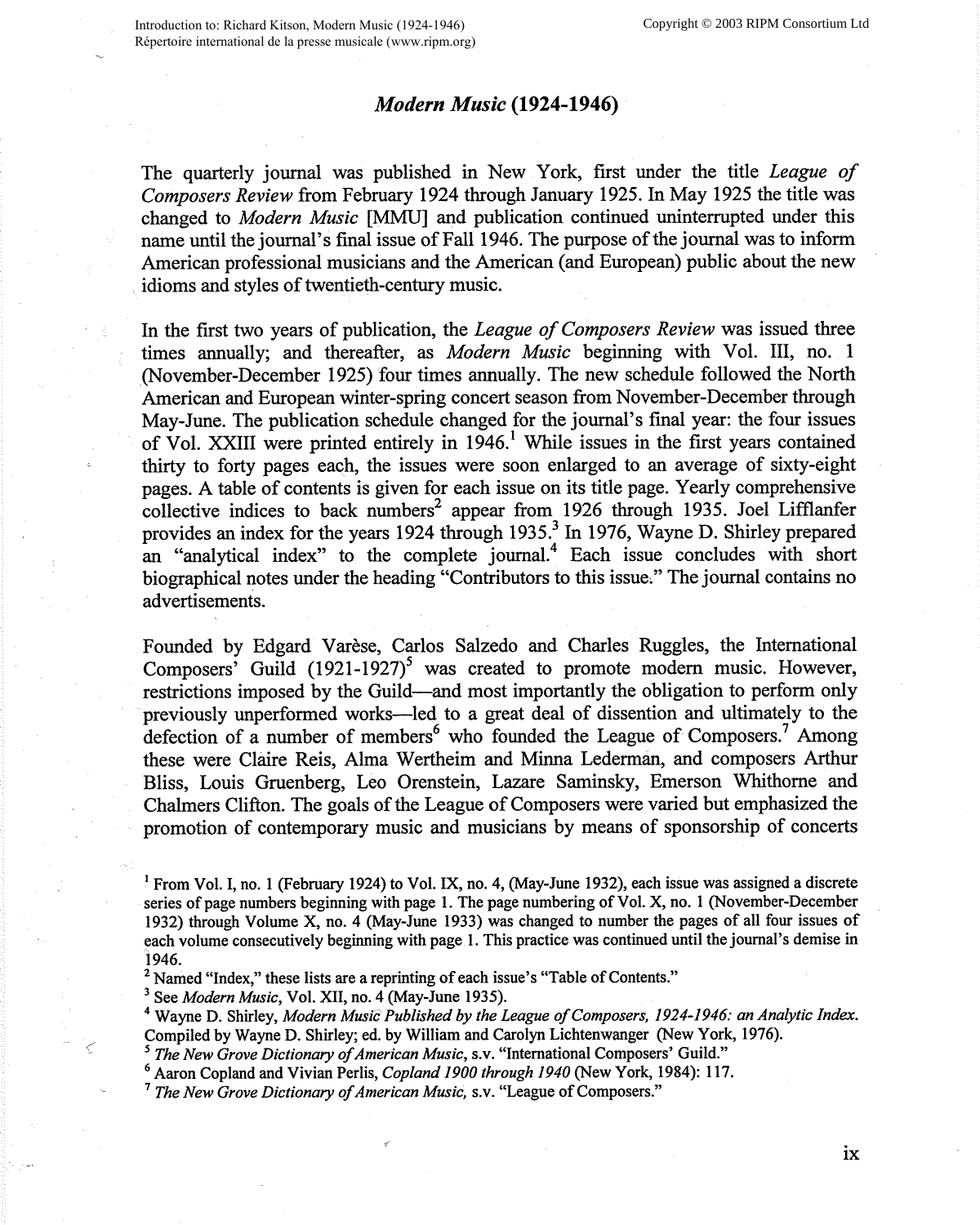## *Modern Music* **(1924-1946)**

The quarterly journal was published in New York, first under the title *League of Composers Review* from February 1924 through January 1925. In May 1925 the title was changed to *Modern Music* [MMU] and publication continued uninterrupted under this name until the journal's final issue of Fall 1946. The purpose of the journal was to inform American professional musicians and the American (and European) public about the new idioms and styles of twentieth-century music.

In the first two years of publication, the *League of Composers Review* was issued three times annually; and thereafter, as *Modern Music* beginning with Vol. III, no. 1 (November-December 1925) four times annually. The new schedule followed the North American and European winter-spring concert season from November-December through May-June. The publication schedule changed for the journal's final year: the four issues of Vol. XXIII were printed entirely in  $1946$ .<sup>1</sup> While issues in the first years contained thirty to forty pages each, the issues were soon enlarged to an average of sixty-eight pages. A table of contents is given for each issue on its title page. Yearly comprehensive collective indices to back numbers<sup>2</sup> appear from 1926 through 1935. Joel Lifflanfer provides an index for the years 1924 through 1935.<sup>3</sup> In 1976, Wayne D. Shirley prepared an "analytical index" to the complete journal.<sup>4</sup> Each issue concludes with short biographical notes under the heading "Contributors to this issue;" The journal contains no advertisements.

Founded by Edgard Varèse, Carlos Salzedo and Charles Ruggles, the International Composers<sup>3</sup> Guild  $(1921-1927)^5$  was created to promote modern music. However, restrictions imposed by the Guild-and most importantly the obligation to perform only previously unperformed works-led to a great deal of dissention and ultimately to the defection of a number of members<sup>6</sup> who founded the League of Composers.<sup>7</sup> Among these were Claire Reis, Alma Wertheim and Minna Lederman, and composers Arthur Bliss, Louis Gruenberg, Leo Orenstein, Lazare Saminsky, Emerson Whithome and Chalmers Clifton. The goals of the League of Composers were varied but emphasized the promotion of contemporary music and musicians by means of sponsorship of concerts

<sup>3</sup> See *Modern Music*, Vol. XII, no. 4 (May-June 1935).

<sup>4</sup>Wayne D. Shirley, *Modern Music Published by the League of Composers, 1924-1946: an Analytic Index.*  Compiled by Wayne D. Shirley; ed. by William and Carolyn Lichtenwanger (New York, 1976).

<sup>5</sup>*The New Grove Dictionary of American Music,* s.v. "International Composers' Guild."

<sup>6</sup>Aaron Copland and Vivian Perlis, *Copland 1900 through 1940* (New York, 1984): 117.

*<sup>1</sup>The New Grove Dictionary of American Music,* s.v. "League of Composers."

<sup>&</sup>lt;sup>1</sup> From Vol. I, no. 1 (February 1924) to Vol. IX, no. 4, (May-June 1932), each issue was assigned a discrete series of page numbers beginning with page 1. The page numbering of Vol. X, no. 1 (November-December 1932) through Volume X, no. 4 (May-June 1933) was changed to number the pages of all four issues of each volume consecutively beginning with page 1. This practice was continued until the journal's demise in 1946.

 $2$  Named "Index," these lists are a reprinting of each issue's "Table of Contents."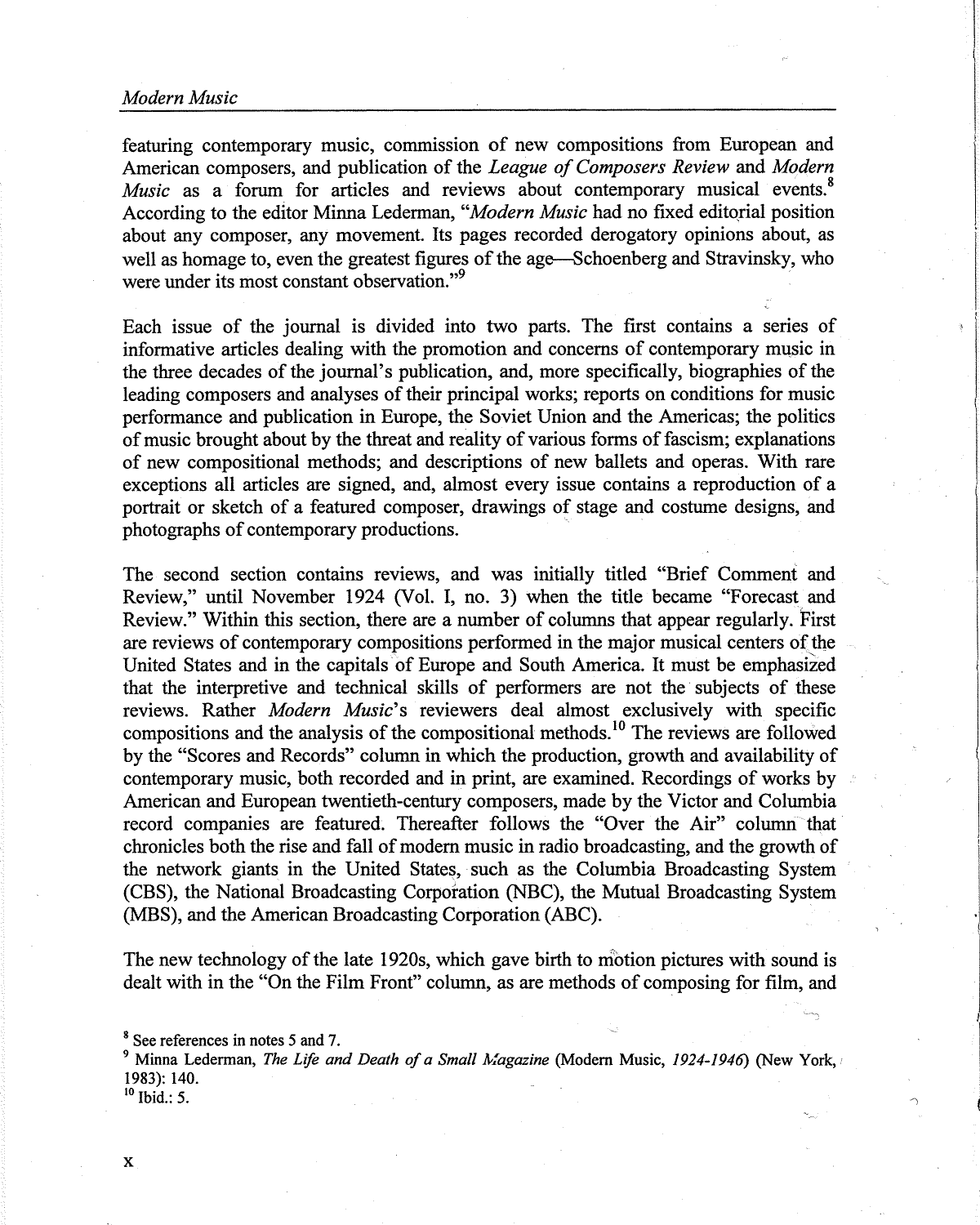featuring contemporary music, commission of new compositions from European and American composers, and publication of the *League of Composers Review* and *Modern Music* as a forum for articles and reviews about contemporary musical events.<sup>8</sup> According to the editor Minna Lederman, "*Modern Music* had no fixed editorial position about any composer, any movement. Its pages recorded derogatory opinions about, as well as homage to, even the greatest figures of the age-Schoenberg and Stravinsky, who were under its most constant observation."<sup>9</sup>

Each issue of the journal is divided into two parts. The first contains a series of informative articles dealing with the promotion and concerns of contemporary music in the three decades of the journal's publication, and, more specifically, biographies of the leading composers and analyses of their principal works; reports on conditions for music performance and publication in Europe, the Soviet Union and the Americas; the politics of music brought about by the threat and reality of various forms of fascism; explanations of new compositional methods; and descriptions of new ballets and operas. With rare exceptions all articles are signed, and, almost every issue contains a reproduction of a portrait or sketch of a featured composer, drawings of stage and costume designs, and photographs of contemporary productions.

The second section contains reviews, and was initially titled "Brief Comment and Review," until November 1924 (Vol. I, no. 3) when the title became "Forecast and Review." Within this section, there are a number of columns that appear regularly. First are reviews of contemporary compositions performed in the major musical centers of the United States and in the capitals of Europe and South America. It must be emphasized that the interpretive and technical skills of performers are not the subjects of these reviews. Rather *Modern Music's* reviewers deal almost exclusively with specific compositions and the analysis of the compositional methods. 10 The reviews are followed by the "Scores and Records" column in which the production, growth and availability of contemporary music, both recorded and in print, are examined. Recordings of works by American and European twentieth-century composers, made by the Victor and Columbia record companies are featured. Thereafter follows the "Over the Air" column that chronicles both the rise and fall of modern music in radio broadcasting, and the growth of the network giants in the United States, such as the Columbia Broadcasting System (CBS), the National Broadcasting Corporation (NBC), the Mutual Broadcasting System (MBS), and the American Broadcasting Corporation (ABC).

The new technology of the late 1920s, which gave birth to motion pictures with sound is dealt with in the "On the Film Front" column, as are methods of composing for film, and

<sup>9</sup> Minna Lederman, *The Life and Death of a Small Magazine* (Modern Music, 1924-1946) (New York, 1983): 140.

 $10$  Ibid.: 5.

<sup>&</sup>lt;sup>8</sup> See references in notes 5 and 7.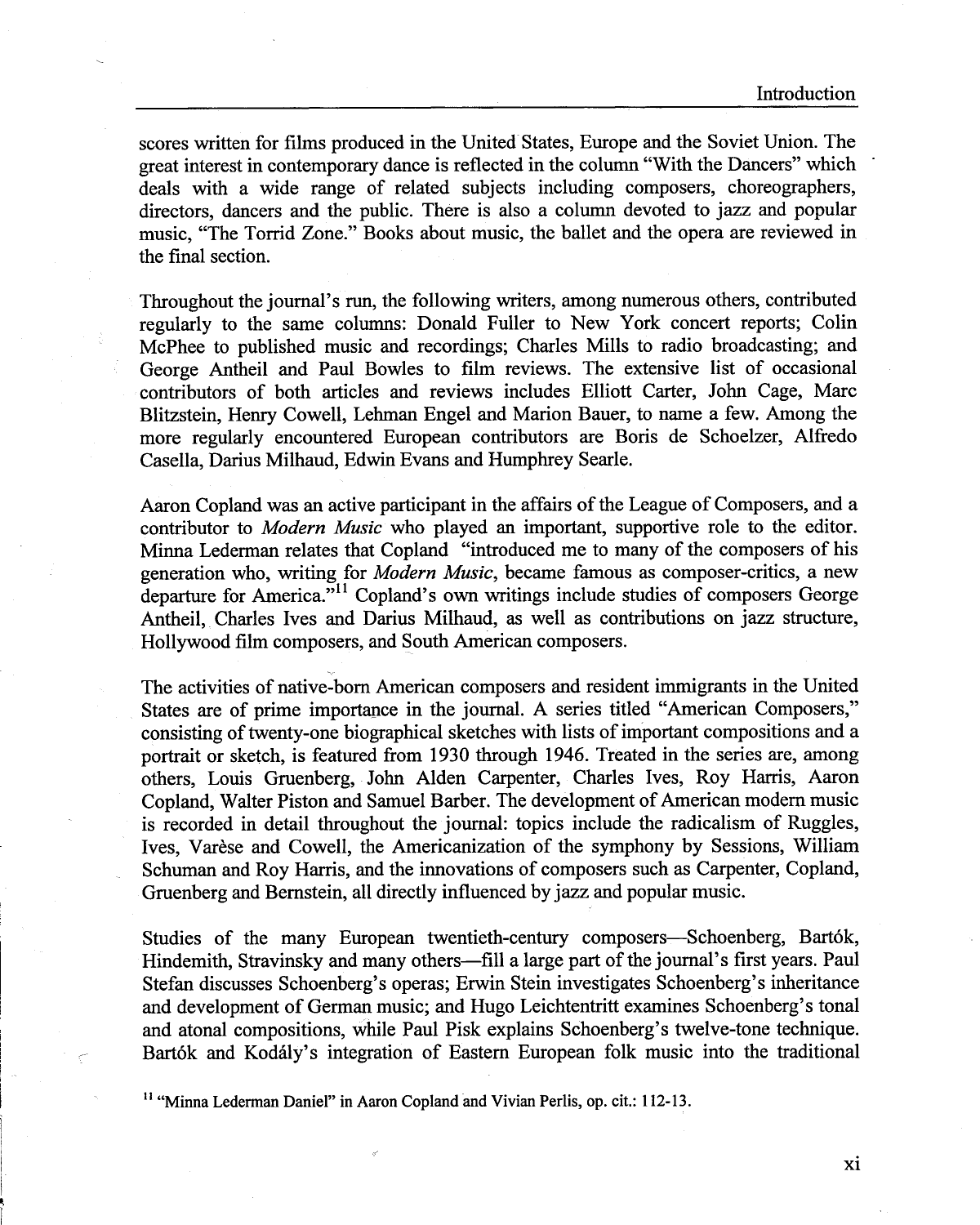scores written for films produced in the United States, Europe and the Soviet Union. The great interest in contemporary dance is reflected in the column "With the Dancers" which deals with a wide range of related subjects including composers, choreographers, directors, dancers and the public. There is also a column devoted to jazz and popular music, "The Torrid Zone." Books about music, the ballet and the opera are reviewed in the final section.

Throughout the journal's run, the following writers, among numerous others, contributed regularly to the same columns: Donald Fuller to New York concert reports; Colin McPhee to published music and recordings; Charles Mills to radio broadcasting; and George Antheil and Paul Bowles to film reviews. The extensive list of occasional contributors of both articles and reviews includes Elliott Carter, John Cage, Marc Blitzstein, Henry Cowell, Lehman Engel and Marion Bauer, to name a few. Among the more regularly encountered European contributors are Boris de Schoelzer, Alfredo Casella, Darius Milhaud, Edwin Evans and Humphrey Searle.

Aaron Copland was an active participant in the affairs of the League of Composers, and a contributor to *Modern Music* who played an important, supportive role to the editor. Minna Lederman relates that Copland "introduced me to many of the composers of his generation who, writing for *Modern Music,* became famous as composer-critics, a new departure for America."<sup>11</sup> Copland's own writings include studies of composers George Antheil, Charles Ives and Darius Milhaud, as well as contributions on jazz structure, Hollywood film composers, and South American composers.

The activities of native-born American composers and resident immigrants in the United States are of prime importance in the journal. A series titled "American Composers," consisting of twenty-one biographical sketches with lists of important compositions and a portrait or sketch, is featured from 1930 through 1946. Treated in the series are, among others, Louis Gruenberg, John Alden Carpenter, Charles Ives, Roy Harris, Aaron Copland, Walter Piston and Samuel Barber. The development of American modem music is recorded in detail throughout the journal: topics include the radicalism of Ruggles, Ives, Varese and Cowell, the Americanization of the symphony by Sessions, William Schuman and Roy Harris, and the innovations of composers such as Carpenter, Copland, Gruenberg and Bernstein, all directly influenced by jazz and popular music.

Studies of the many European twentieth-century composers-Schoenberg, Bart6k, Hindemith, Stravinsky and many others—fill a large part of the journal's first years. Paul Stefan discusses Schoenberg's operas; Erwin Stein investigates Schoenberg's inheritance and development of German music; and Hugo Leichtentritt examines Schoenberg's tonal and atonal compositions, while Paul Pisk explains Schoenberg's twelve-tone technique. Bartók and Kodály's integration of Eastern European folk music into the traditional

<sup>11</sup> "Minna Lederman Daniel" in Aaron Copland and Vivian Perlis, op. cit.: 112-13.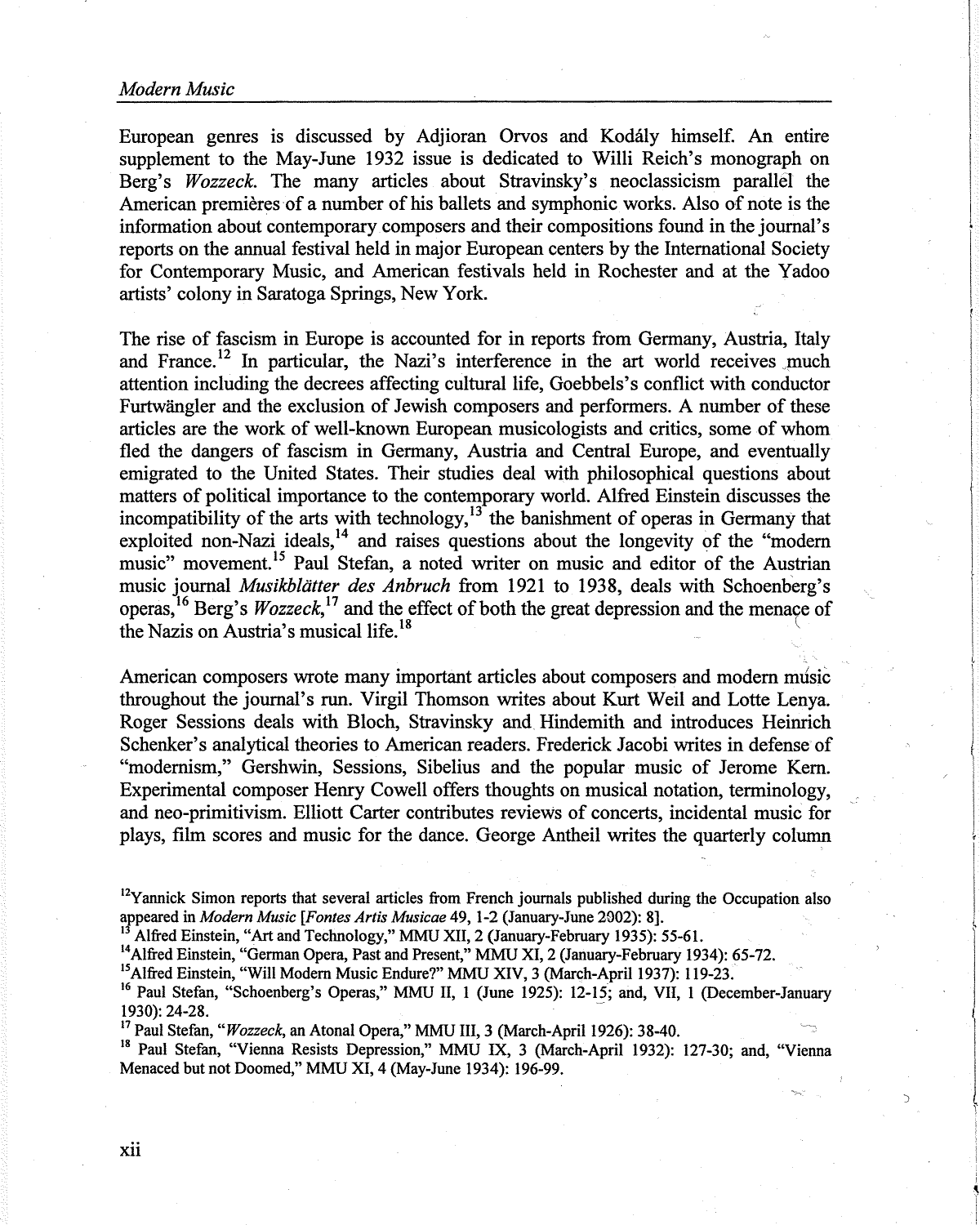European genres is discussed by Adjioran Orvos and Kodaly himself. An entire supplement to the May-June 1932 issue is dedicated to Willi Reich's monograph on Berg's *Wozzeck.* The many articles about Stravinsky's neoclassicism parallel the American premières of a number of his ballets and symphonic works. Also of note is the information about contemporary composers and their compositions found in the journal's reports on the annual festival held in major European centers by the International Society for Contemporary Music, and American festivals held in Rochester and at the Y adoo artists' colony in Saratoga Springs, New York.

The rise of fascism in Europe is accounted for in reports from Germany, Austria, Italy and France.<sup>12</sup> In particular, the Nazi's interference in the art world receives much attention including the decrees affecting cultural life, Goebbels's conflict with conductor Furtwangler and the exclusion of Jewish composers and performers. A number of these articles are the work of well-known European musicologists and critics, some of whom fled the dangers of fascism in Germany, Austria and Central Europe, and eventually emigrated to the United States. Their studies deal with philosophical questions about matters of political importance to the contemporary world. Alfred Einstein discusses the incompatibility of the arts with technology,  $13$  the banishment of operas in Germany that exploited non-Nazi ideals,<sup>14</sup> and raises questions about the longevity of the "modern music" movement.<sup>15</sup> Paul Stefan, a noted writer on music and editor of the Austrian music journal *Musikbliitter des Anbruch* from 1921 to 1938, deals with Schoenberg's operas,<sup>16</sup> Berg's *Wozzeck*,<sup>17</sup> and the effect of both the great depression and the menace of the Nazis on Austria's musical life.<sup>18</sup>

American composers wrote many important articles about composers and modem music throughout the journal's run. Virgil Thomson writes about Kurt Weil and Lotte Lenya. Roger Sessions deals with Bloch, Stravinsky and. Hindemith and introduces Heinrich Schenker's analytical theories to American readers. Frederick Jacobi writes in defense of "modernism," Gershwin, Sessions, Sibelius and the popular music of Jerome Kem. Experimental composer Henry Cowell offers thoughts on musical notation, terminology, and neo-primitivism. Elliott Carter contributes reviews of concerts, incidental music for plays, film scores and music for the dance. George Antheil writes the quarterly column

1930): 24-28.

<sup>17</sup> Paul Stefan, "Wozzeck, an Atonal Opera," MMU III, 3 (March-April 1926): 38-40.

<sup>18</sup> Paul Stefan, "Vienna Resists Depression," MMU IX, 3 (March-April 1932): 127-30; and, "Vienna Menaced but not Doomed," MMU XI, 4 (May-June 1934): 196-99.

 $\supset$ 

 $12$ Yannick Simon reports that several articles from French journals published during the Occupation also appeared in *Modern Music* [Fontes Artis Musicae 49, 1-2 (January-June 2002): 8].<br><sup>13</sup> Alfred Einstein, "Art and Technology," MMU XII, 2 (January-February 1935): 55-61.<br><sup>14</sup> Alfred Einstein, "German Opera, Past and Present